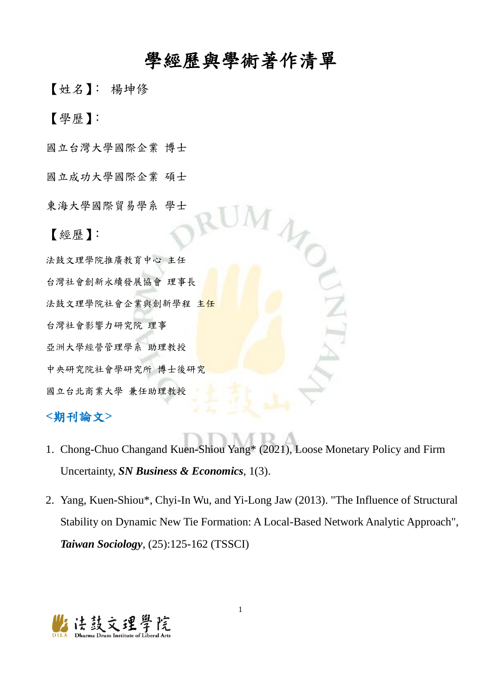## 學經歷與學術著作清單

【姓名】: 楊坤修

【學歷】:

國立台灣大學國際企業 博士

國立成功大學國際企業 碩士

東海大學國際貿易學系 學士

【經歷】:

法鼓文理學院推廣教育中心 主任 台灣社會創新永續發展協會 理事長 法鼓文理學院社會企業與創新學程 主任 台灣社會影響力研究院 理事 亞洲大學經營管理學系 助理教授 中央研究院社會學研究所 博士後研究 國立台北商業大學 兼任助理教授

## **<**期刊論文**>**

- 1. Chong-Chuo Changand Kuen-Shiou Yang\* (2021), Loose Monetary Policy and Firm Uncertainty, *SN Business & Economics*, 1(3).
- 2. Yang, Kuen-Shiou\*, Chyi-In Wu, and Yi-Long Jaw (2013). "The Influence of Structural Stability on Dynamic New Tie Formation: A Local-Based Network Analytic Approach", *Taiwan Sociology*, (25):125-162 (TSSCI)

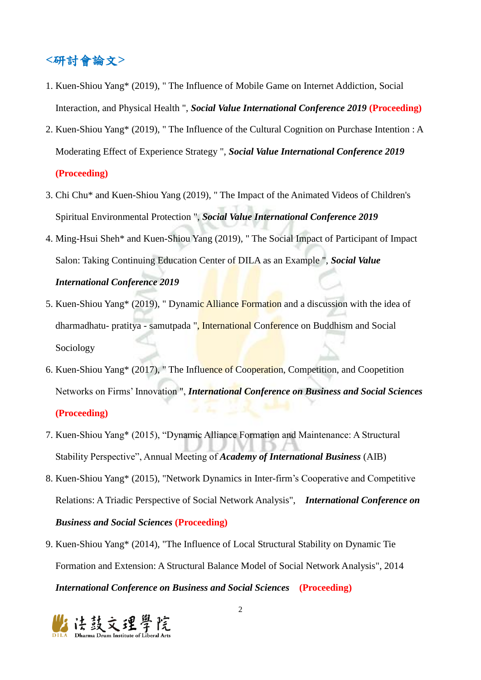## **<**研討會論文**>**

- 1. Kuen-Shiou Yang\* (2019), " The Influence of Mobile Game on Internet Addiction, Social Interaction, and Physical Health ", *Social Value International Conference 2019* **(Proceeding)**
- 2. Kuen-Shiou Yang\* (2019), " The Influence of the Cultural Cognition on Purchase Intention : A Moderating Effect of Experience Strategy ", *Social Value International Conference 2019* **(Proceeding)**
- 3. Chi Chu\* and Kuen-Shiou Yang (2019), " The Impact of the Animated Videos of Children's Spiritual Environmental Protection ", *Social Value International Conference 2019*
- 4. Ming-Hsui Sheh\* and Kuen-Shiou Yang (2019), " The Social Impact of Participant of Impact Salon: Taking Continuing Education Center of DILA as an Example ", *Social Value*

### *International Conference 2019*

- 5. Kuen-Shiou Yang\* (2019), " Dynamic Alliance Formation and a discussion with the idea of dharmadhatu- pratitya - samutpada ", International Conference on Buddhism and Social Sociology
- 6. Kuen-Shiou Yang\* (2017), " The Influence of Cooperation, Competition, and Coopetition Networks on Firms' Innovation ", *International Conference on Business and Social Sciences* **(Proceeding)**
- 7. Kuen-Shiou Yang\* (2015), "Dynamic Alliance Formation and Maintenance: A Structural Stability Perspective", Annual Meeting of *Academy of International Business* (AIB)
- 8. Kuen-Shiou Yang\* (2015), "Network Dynamics in Inter-firm's Cooperative and Competitive Relations: A Triadic Perspective of Social Network Analysis", *International Conference on Business and Social Sciences* **(Proceeding)**
- 9. Kuen-Shiou Yang\* (2014), "The Influence of Local Structural Stability on Dynamic Tie Formation and Extension: A Structural Balance Model of Social Network Analysis", 2014 *International Conference on Business and Social Sciences* **(Proceeding)**

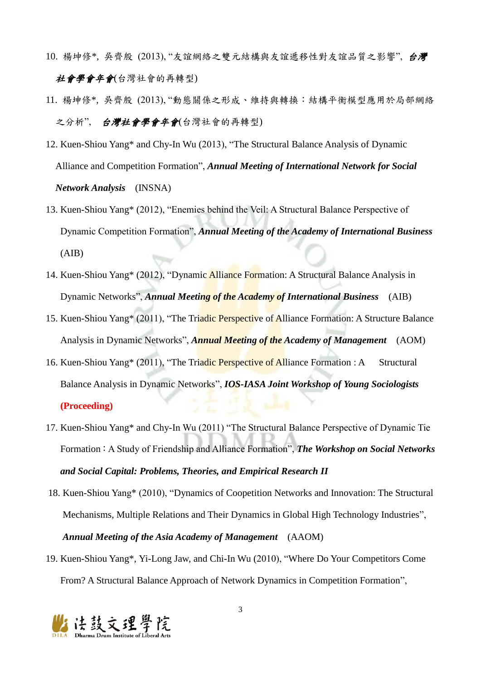- 10. 楊坤修\*, 吳齊殷 (2013), "友誼網絡之雙元結構與友誼遞移性對友誼品質之影響", 台灣 社會學會年會(台灣社會的再轉型)
- 11. 楊坤修\*, 吳齊殷 (2013), "動態關係之形成、維持與轉換:結構平衡模型應用於局部網絡 之分析", 台灣社會學會年會(台灣社會的再轉型)
- 12. Kuen-Shiou Yang\* and Chy-In Wu (2013), "The Structural Balance Analysis of Dynamic Alliance and Competition Formation", *Annual Meeting of International Network for Social Network Analysis* (INSNA)
- 13. Kuen-Shiou Yang\* (2012), "Enemies behind the Veil: A Structural Balance Perspective of Dynamic Competition Formation", *Annual Meeting of the Academy of International Business* (AIB)
- 14. Kuen-Shiou Yang\* (2012), "Dynamic Alliance Formation: A Structural Balance Analysis in Dynamic Networks", *Annual Meeting of the Academy of International Business* (AIB)
- 15. Kuen-Shiou Yang<sup>\*</sup> (2011), "The Triadic Perspective of Alliance Formation: A Structure Balance Analysis in Dynamic Networks", *Annual Meeting of the Academy of Management* (AOM)
- 16. Kuen-Shiou Yang\* (2011), "The Triadic Perspective of Alliance Formation : A Structural Balance Analysis in Dynamic Networks", *IOS-IASA Joint Workshop of Young Sociologists* **(Proceeding)**
- 17. Kuen-Shiou Yang\* and Chy-In Wu (2011) "The Structural Balance Perspective of Dynamic Tie Formation: A Study of Friendship and Alliance Formation", *The Workshop on Social Networks and Social Capital: Problems, Theories, and Empirical Research II*
- 18. Kuen-Shiou Yang\* (2010), "Dynamics of Coopetition Networks and Innovation: The Structural Mechanisms, Multiple Relations and Their Dynamics in Global High Technology Industries", *Annual Meeting of the Asia Academy of Management* (AAOM)
- 19. Kuen-Shiou Yang\**,* Yi-Long Jaw, and Chi-In Wu (2010), "Where Do Your Competitors Come From? A Structural Balance Approach of Network Dynamics in Competition Formation",

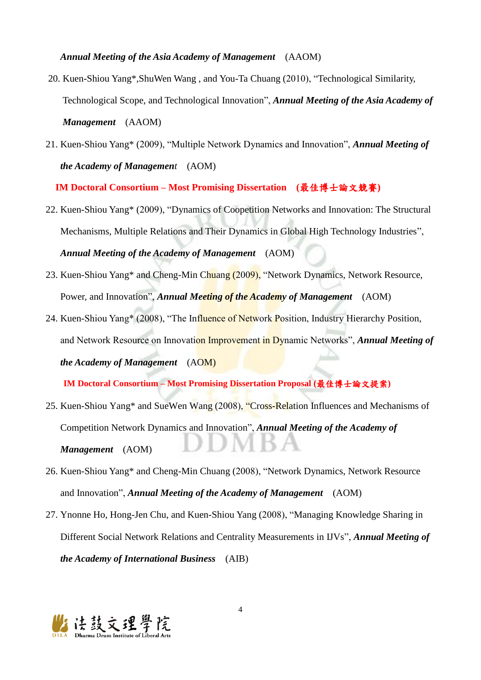#### *Annual Meeting of the Asia Academy of Management* (AAOM)

- 20. Kuen-Shiou Yang\**,*ShuWen Wang , and You-Ta Chuang (2010), "Technological Similarity, Technological Scope, and Technological Innovation", *Annual Meeting of the Asia Academy of Management* (AAOM)
- 21. Kuen-Shiou Yang\* (2009), "Multiple Network Dynamics and Innovation", *Annual Meeting of the Academy of Management* (AOM)

**IM Doctoral Consortium – Most Promising Dissertation (**最佳博士論文競賽**)**

- 22. Kuen-Shiou Yang\* (2009), "Dynamics of Coopetition Networks and Innovation: The Structural Mechanisms, Multiple Relations and Their Dynamics in Global High Technology Industries", *Annual Meeting of the Academy of Management* (AOM)
- 23. Kuen-Shiou Yang\* and Cheng-Min Chuang (2009), "Network Dynamics, Network Resource, Power, and Innovation", *Annual Meeting of the Academy of Management* (AOM)
- 24. Kuen-Shiou Yang\* (2008), "The Influence of Network Position, Industry Hierarchy Position, and Network Resource on Innovation Improvement in Dynamic Networks", *Annual Meeting of the Academy of Management* (AOM)

**IM Doctoral Consortium – Most Promising Dissertation Proposal (**最佳博士論文提案**)**

- 25. Kuen-Shiou Yang\* and SueWen Wang (2008), "Cross-Relation Influences and Mechanisms of Competition Network Dynamics and Innovation", *Annual Meeting of the Academy of Management* (AOM)
- 26. Kuen-Shiou Yang\* and Cheng-Min Chuang (2008), "Network Dynamics, Network Resource and Innovation", *Annual Meeting of the Academy of Management* (AOM)
- 27. Ynonne Ho, Hong-Jen Chu, and Kuen-Shiou Yang (2008), "Managing Knowledge Sharing in Different Social Network Relations and Centrality Measurements in IJVs", *Annual Meeting of the Academy of International Business* (AIB)

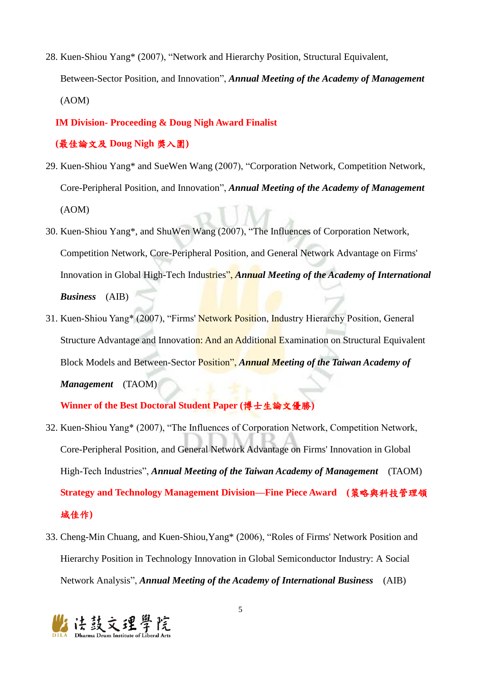28. Kuen-Shiou Yang\* (2007), "Network and Hierarchy Position, Structural Equivalent, Between-Sector Position, and Innovation", *Annual Meeting of the Academy of Management* (AOM)

#### **IM Division- Proceeding & Doug Nigh Award Finalist**

#### **(**最佳論文及 **Doug Nigh** 獎入圍**)**

- 29. Kuen-Shiou Yang\* and SueWen Wang (2007), "Corporation Network, Competition Network, Core-Peripheral Position, and Innovation", *Annual Meeting of the Academy of Management* (AOM)
- 30. Kuen-Shiou Yang\*, and ShuWen Wang (2007), "The Influences of Corporation Network, Competition Network, Core-Peripheral Position, and General Network Advantage on Firms' Innovation in Global High-Tech Industries", *Annual Meeting of the Academy of International Business* (AIB)
- 31. Kuen-Shiou Yang\* (2007), "Firms' Network Position, Industry Hierarchy Position, General Structure Advantage and Innovation: And an Additional Examination on Structural Equivalent Block Models and Between-Sector Position", *Annual Meeting of the Taiwan Academy of Management* (TAOM)

#### **Winner of the Best Doctoral Student Paper (**博士生論文優勝**)**

- 32. Kuen-Shiou Yang\* (2007), "The Influences of Corporation Network, Competition Network, Core-Peripheral Position, and General Network Advantage on Firms' Innovation in Global High-Tech Industries", *Annual Meeting of the Taiwan Academy of Management* (TAOM) **Strategy and Technology Management Division—Fine Piece Award (**策略與科技管理領 域佳作**)**
- 33. Cheng-Min Chuang, and Kuen-Shiou,Yang\* (2006), "Roles of Firms' Network Position and Hierarchy Position in Technology Innovation in Global Semiconductor Industry: A Social Network Analysis", *Annual Meeting of the Academy of International Business* (AIB)